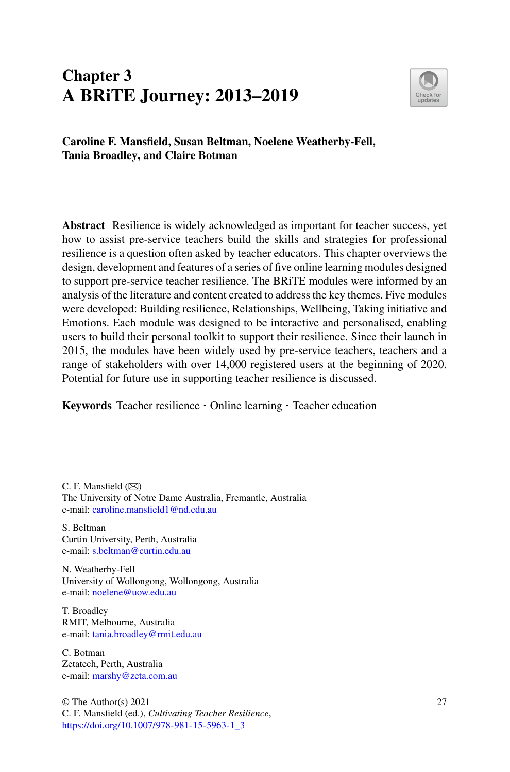# **Chapter 3 A BRiTE Journey: 2013–2019**



**Caroline F. Mansfield, Susan Beltman, Noelene Weatherby-Fell, Tania Broadley, and Claire Botman**

**Abstract** Resilience is widely acknowledged as important for teacher success, yet how to assist pre-service teachers build the skills and strategies for professional resilience is a question often asked by teacher educators. This chapter overviews the design, development and features of a series of five online learning modules designed to support pre-service teacher resilience. The BRiTE modules were informed by an analysis of the literature and content created to address the key themes. Five modules were developed: Building resilience, Relationships, Wellbeing, Taking initiative and Emotions. Each module was designed to be interactive and personalised, enabling users to build their personal toolkit to support their resilience. Since their launch in 2015, the modules have been widely used by pre-service teachers, teachers and a range of stakeholders with over 14,000 registered users at the beginning of 2020. Potential for future use in supporting teacher resilience is discussed.

**Keywords** Teacher resilience · Online learning · Teacher education

C. F. Mansfield  $(\boxtimes)$ 

S. Beltman Curtin University, Perth, Australia e-mail: [s.beltman@curtin.edu.au](mailto:s.beltman@curtin.edu.au)

N. Weatherby-Fell University of Wollongong, Wollongong, Australia e-mail: [noelene@uow.edu.au](mailto:noelene@uow.edu.au)

T. Broadley RMIT, Melbourne, Australia e-mail: [tania.broadley@rmit.edu.au](mailto:tania.broadley@rmit.edu.au)

C. Botman Zetatech, Perth, Australia e-mail: [marshy@zeta.com.au](mailto:marshy@zeta.com.au)

© The Author(s) 2021 C. F. Mansfield (ed.), *Cultivating Teacher Resilience*, [https://doi.org/10.1007/978-981-15-5963-1\\_3](https://doi.org/10.1007/978-981-15-5963-1_3)

The University of Notre Dame Australia, Fremantle, Australia e-mail: [caroline.mansfield1@nd.edu.au](mailto:caroline.mansfield1@nd.edu.au)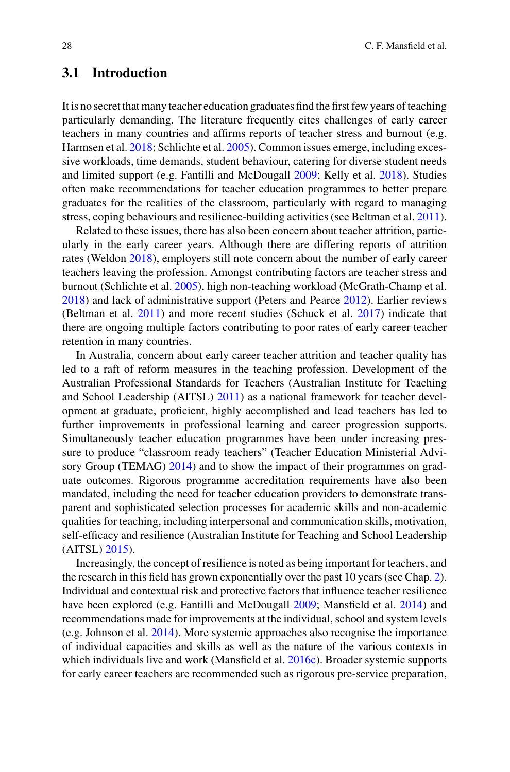# **3.1 Introduction**

It is no secret that many teacher education graduates find the first few years of teaching particularly demanding. The literature frequently cites challenges of early career teachers in many countries and affirms reports of teacher stress and burnout (e.g. Harmsen et al. [2018;](#page-19-0) Schlichte et al. [2005\)](#page-19-1). Common issues emerge, including excessive workloads, time demands, student behaviour, catering for diverse student needs and limited support (e.g. Fantilli and McDougall [2009;](#page-18-0) Kelly et al. [2018\)](#page-19-2). Studies often make recommendations for teacher education programmes to better prepare graduates for the realities of the classroom, particularly with regard to managing stress, coping behaviours and resilience-building activities (see Beltman et al. [2011\)](#page-18-1).

Related to these issues, there has also been concern about teacher attrition, particularly in the early career years. Although there are differing reports of attrition rates (Weldon [2018\)](#page-20-0), employers still note concern about the number of early career teachers leaving the profession. Amongst contributing factors are teacher stress and burnout (Schlichte et al. [2005\)](#page-19-1), high non-teaching workload (McGrath-Champ et al. [2018\)](#page-19-3) and lack of administrative support (Peters and Pearce [2012\)](#page-19-4). Earlier reviews (Beltman et al. [2011\)](#page-18-1) and more recent studies (Schuck et al. [2017\)](#page-20-1) indicate that there are ongoing multiple factors contributing to poor rates of early career teacher retention in many countries.

In Australia, concern about early career teacher attrition and teacher quality has led to a raft of reform measures in the teaching profession. Development of the Australian Professional Standards for Teachers (Australian Institute for Teaching and School Leadership (AITSL) [2011\)](#page-18-2) as a national framework for teacher development at graduate, proficient, highly accomplished and lead teachers has led to further improvements in professional learning and career progression supports. Simultaneously teacher education programmes have been under increasing pressure to produce "classroom ready teachers" (Teacher Education Ministerial Advi-sory Group (TEMAG) [2014\)](#page-20-2) and to show the impact of their programmes on graduate outcomes. Rigorous programme accreditation requirements have also been mandated, including the need for teacher education providers to demonstrate transparent and sophisticated selection processes for academic skills and non-academic qualities for teaching, including interpersonal and communication skills, motivation, self-efficacy and resilience (Australian Institute for Teaching and School Leadership (AITSL) [2015\)](#page-18-3).

Increasingly, the concept of resilience is noted as being important for teachers, and the research in this field has grown exponentially over the past 10 years (see Chap. 2). Individual and contextual risk and protective factors that influence teacher resilience have been explored (e.g. Fantilli and McDougall [2009;](#page-18-0) Mansfield et al. [2014\)](#page-19-5) and recommendations made for improvements at the individual, school and system levels (e.g. Johnson et al. [2014\)](#page-19-6). More systemic approaches also recognise the importance of individual capacities and skills as well as the nature of the various contexts in which individuals live and work (Mansfield et al. [2016c\)](#page-19-7). Broader systemic supports for early career teachers are recommended such as rigorous pre-service preparation,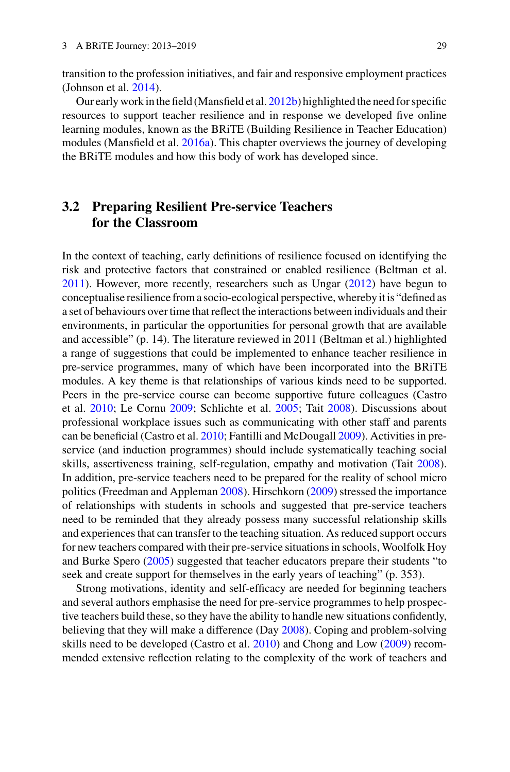transition to the profession initiatives, and fair and responsive employment practices (Johnson et al. [2014\)](#page-19-6).

Our early work in the field (Mansfield et al. [2012b\)](#page-19-8) highlighted the need for specific resources to support teacher resilience and in response we developed five online learning modules, known as the BRiTE (Building Resilience in Teacher Education) modules (Mansfield et al. [2016a\)](#page-19-9). This chapter overviews the journey of developing the BRiTE modules and how this body of work has developed since.

# <span id="page-2-0"></span>**3.2 Preparing Resilient Pre-service Teachers for the Classroom**

In the context of teaching, early definitions of resilience focused on identifying the risk and protective factors that constrained or enabled resilience (Beltman et al. [2011\)](#page-18-1). However, more recently, researchers such as Ungar [\(2012\)](#page-20-3) have begun to conceptualise resilience from a socio-ecological perspective, whereby it is "defined as a set of behaviours over time that reflect the interactions between individuals and their environments, in particular the opportunities for personal growth that are available and accessible" (p. 14). The literature reviewed in 2011 (Beltman et al.) highlighted a range of suggestions that could be implemented to enhance teacher resilience in pre-service programmes, many of which have been incorporated into the BRiTE modules. A key theme is that relationships of various kinds need to be supported. Peers in the pre-service course can become supportive future colleagues (Castro et al. [2010;](#page-18-4) Le Cornu [2009;](#page-19-10) Schlichte et al. [2005;](#page-19-1) Tait [2008\)](#page-20-4). Discussions about professional workplace issues such as communicating with other staff and parents can be beneficial (Castro et al. [2010;](#page-18-4) Fantilli and McDougall [2009\)](#page-18-0). Activities in preservice (and induction programmes) should include systematically teaching social skills, assertiveness training, self-regulation, empathy and motivation (Tait [2008\)](#page-20-4). In addition, pre-service teachers need to be prepared for the reality of school micro politics (Freedman and Appleman [2008\)](#page-18-5). Hirschkorn [\(2009\)](#page-19-11) stressed the importance of relationships with students in schools and suggested that pre-service teachers need to be reminded that they already possess many successful relationship skills and experiences that can transfer to the teaching situation. As reduced support occurs for new teachers compared with their pre-service situations in schools, Woolfolk Hoy and Burke Spero [\(2005\)](#page-20-5) suggested that teacher educators prepare their students "to seek and create support for themselves in the early years of teaching" (p. 353).

Strong motivations, identity and self-efficacy are needed for beginning teachers and several authors emphasise the need for pre-service programmes to help prospective teachers build these, so they have the ability to handle new situations confidently, believing that they will make a difference (Day [2008\)](#page-18-6). Coping and problem-solving skills need to be developed (Castro et al. [2010\)](#page-18-4) and Chong and Low [\(2009\)](#page-18-7) recommended extensive reflection relating to the complexity of the work of teachers and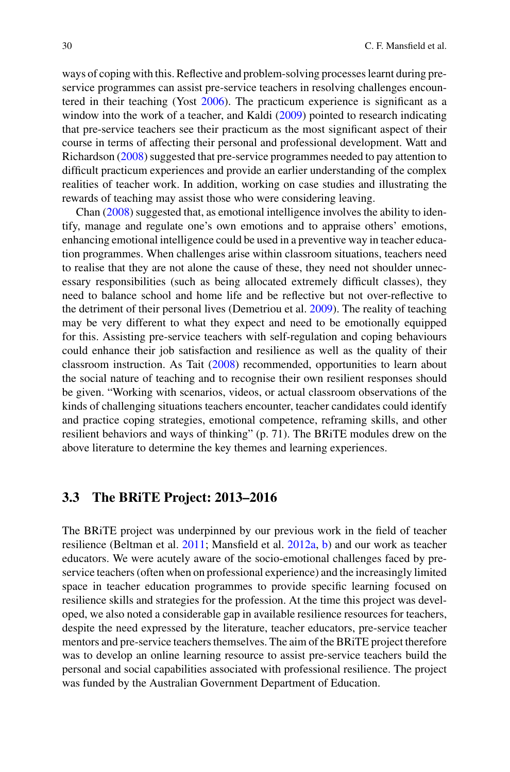ways of coping with this. Reflective and problem-solving processes learnt during preservice programmes can assist pre-service teachers in resolving challenges encountered in their teaching (Yost [2006\)](#page-20-6). The practicum experience is significant as a window into the work of a teacher, and Kaldi [\(2009\)](#page-19-12) pointed to research indicating that pre-service teachers see their practicum as the most significant aspect of their course in terms of affecting their personal and professional development. Watt and Richardson [\(2008\)](#page-20-7) suggested that pre-service programmes needed to pay attention to difficult practicum experiences and provide an earlier understanding of the complex realities of teacher work. In addition, working on case studies and illustrating the rewards of teaching may assist those who were considering leaving.

Chan [\(2008\)](#page-18-8) suggested that, as emotional intelligence involves the ability to identify, manage and regulate one's own emotions and to appraise others' emotions, enhancing emotional intelligence could be used in a preventive way in teacher education programmes. When challenges arise within classroom situations, teachers need to realise that they are not alone the cause of these, they need not shoulder unnecessary responsibilities (such as being allocated extremely difficult classes), they need to balance school and home life and be reflective but not over-reflective to the detriment of their personal lives (Demetriou et al. [2009\)](#page-18-9). The reality of teaching may be very different to what they expect and need to be emotionally equipped for this. Assisting pre-service teachers with self-regulation and coping behaviours could enhance their job satisfaction and resilience as well as the quality of their classroom instruction. As Tait [\(2008\)](#page-20-4) recommended, opportunities to learn about the social nature of teaching and to recognise their own resilient responses should be given. "Working with scenarios, videos, or actual classroom observations of the kinds of challenging situations teachers encounter, teacher candidates could identify and practice coping strategies, emotional competence, reframing skills, and other resilient behaviors and ways of thinking" (p. 71). The BRiTE modules drew on the above literature to determine the key themes and learning experiences.

### <span id="page-3-0"></span>**3.3 The BRiTE Project: 2013–2016**

The BRiTE project was underpinned by our previous work in the field of teacher resilience (Beltman et al. [2011;](#page-18-1) Mansfield et al. [2012a,](#page-19-13) [b\)](#page-19-8) and our work as teacher educators. We were acutely aware of the socio-emotional challenges faced by preservice teachers (often when on professional experience) and the increasingly limited space in teacher education programmes to provide specific learning focused on resilience skills and strategies for the profession. At the time this project was developed, we also noted a considerable gap in available resilience resources for teachers, despite the need expressed by the literature, teacher educators, pre-service teacher mentors and pre-service teachers themselves. The aim of the BRiTE project therefore was to develop an online learning resource to assist pre-service teachers build the personal and social capabilities associated with professional resilience. The project was funded by the Australian Government Department of Education.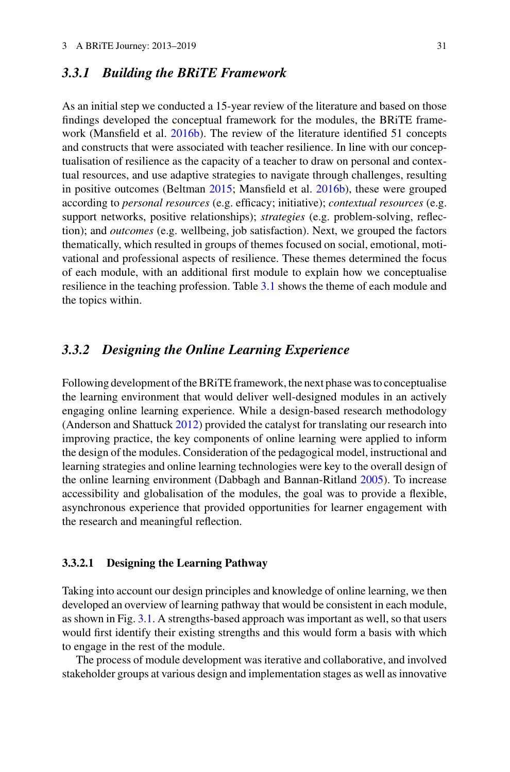# *3.3.1 Building the BRiTE Framework*

As an initial step we conducted a 15-year review of the literature and based on those findings developed the conceptual framework for the modules, the BRiTE framework (Mansfield et al. [2016b\)](#page-19-14). The review of the literature identified 51 concepts and constructs that were associated with teacher resilience. In line with our conceptualisation of resilience as the capacity of a teacher to draw on personal and contextual resources, and use adaptive strategies to navigate through challenges, resulting in positive outcomes (Beltman [2015;](#page-18-10) Mansfield et al. [2016b\)](#page-19-14), these were grouped according to *personal resources* (e.g. efficacy; initiative); *contextual resources* (e.g. support networks, positive relationships); *strategies* (e.g. problem-solving, reflection); and *outcomes* (e.g. wellbeing, job satisfaction). Next, we grouped the factors thematically, which resulted in groups of themes focused on social, emotional, motivational and professional aspects of resilience. These themes determined the focus of each module, with an additional first module to explain how we conceptualise resilience in the teaching profession. Table [3.1](#page-5-0) shows the theme of each module and the topics within.

# *3.3.2 Designing the Online Learning Experience*

Following development of the BRiTE framework, the next phase was to conceptualise the learning environment that would deliver well-designed modules in an actively engaging online learning experience. While a design-based research methodology (Anderson and Shattuck [2012\)](#page-18-11) provided the catalyst for translating our research into improving practice, the key components of online learning were applied to inform the design of the modules. Consideration of the pedagogical model, instructional and learning strategies and online learning technologies were key to the overall design of the online learning environment (Dabbagh and Bannan-Ritland [2005\)](#page-18-12). To increase accessibility and globalisation of the modules, the goal was to provide a flexible, asynchronous experience that provided opportunities for learner engagement with the research and meaningful reflection.

#### **3.3.2.1 Designing the Learning Pathway**

Taking into account our design principles and knowledge of online learning, we then developed an overview of learning pathway that would be consistent in each module, as shown in Fig. [3.1.](#page-6-0) A strengths-based approach was important as well, so that users would first identify their existing strengths and this would form a basis with which to engage in the rest of the module.

The process of module development was iterative and collaborative, and involved stakeholder groups at various design and implementation stages as well as innovative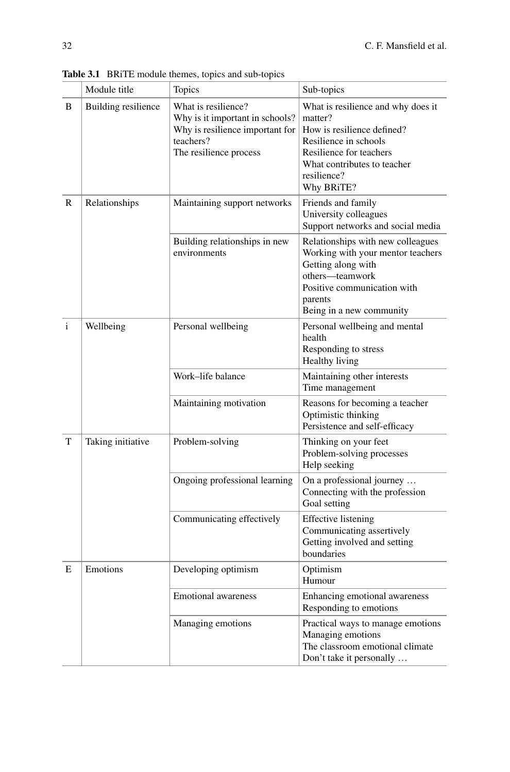|   | Module title               | Topics                                                                                                                           | Sub-topics                                                                                                                                                                                  |
|---|----------------------------|----------------------------------------------------------------------------------------------------------------------------------|---------------------------------------------------------------------------------------------------------------------------------------------------------------------------------------------|
| B | <b>Building resilience</b> | What is resilience?<br>Why is it important in schools?<br>Why is resilience important for<br>teachers?<br>The resilience process | What is resilience and why does it<br>matter?<br>How is resilience defined?<br>Resilience in schools<br>Resilience for teachers<br>What contributes to teacher<br>resilience?<br>Why BRITE? |
| R | Relationships              | Maintaining support networks                                                                                                     | Friends and family<br>University colleagues<br>Support networks and social media                                                                                                            |
|   |                            | Building relationships in new<br>environments                                                                                    | Relationships with new colleagues<br>Working with your mentor teachers<br>Getting along with<br>others-teamwork<br>Positive communication with<br>parents<br>Being in a new community       |
| i | Wellbeing                  | Personal wellbeing                                                                                                               | Personal wellbeing and mental<br>health<br>Responding to stress<br>Healthy living                                                                                                           |
|   |                            | Work-life balance                                                                                                                | Maintaining other interests<br>Time management                                                                                                                                              |
|   |                            | Maintaining motivation                                                                                                           | Reasons for becoming a teacher<br>Optimistic thinking<br>Persistence and self-efficacy                                                                                                      |
| T | Taking initiative          | Problem-solving                                                                                                                  | Thinking on your feet<br>Problem-solving processes<br>Help seeking                                                                                                                          |
|   |                            | Ongoing professional learning                                                                                                    | On a professional journey<br>Connecting with the profession<br>Goal setting                                                                                                                 |
|   |                            | Communicating effectively                                                                                                        | <b>Effective</b> listening<br>Communicating assertively<br>Getting involved and setting<br>boundaries                                                                                       |
| E | Emotions                   | Developing optimism                                                                                                              | Optimism<br>Humour                                                                                                                                                                          |
|   |                            | <b>Emotional</b> awareness                                                                                                       | Enhancing emotional awareness<br>Responding to emotions                                                                                                                                     |
|   |                            | Managing emotions                                                                                                                | Practical ways to manage emotions<br>Managing emotions<br>The classroom emotional climate<br>Don't take it personally                                                                       |

<span id="page-5-0"></span>**Table 3.1** BRiTE module themes, topics and sub-topics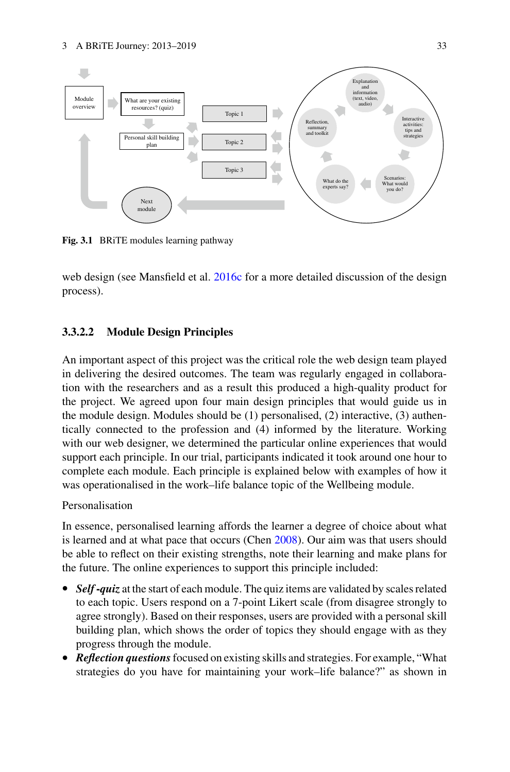

<span id="page-6-0"></span>**Fig. 3.1** BRiTE modules learning pathway

web design (see Mansfield et al. [2016c](#page-19-7) for a more detailed discussion of the design process).

### **3.3.2.2 Module Design Principles**

An important aspect of this project was the critical role the web design team played in delivering the desired outcomes. The team was regularly engaged in collaboration with the researchers and as a result this produced a high-quality product for the project. We agreed upon four main design principles that would guide us in the module design. Modules should be  $(1)$  personalised,  $(2)$  interactive,  $(3)$  authentically connected to the profession and (4) informed by the literature. Working with our web designer, we determined the particular online experiences that would support each principle. In our trial, participants indicated it took around one hour to complete each module. Each principle is explained below with examples of how it was operationalised in the work–life balance topic of the Wellbeing module.

### Personalisation

In essence, personalised learning affords the learner a degree of choice about what is learned and at what pace that occurs (Chen [2008\)](#page-18-13). Our aim was that users should be able to reflect on their existing strengths, note their learning and make plans for the future. The online experiences to support this principle included:

- *Self-quiz* at the start of each module. The quiz items are validated by scales related to each topic. Users respond on a 7-point Likert scale (from disagree strongly to agree strongly). Based on their responses, users are provided with a personal skill building plan, which shows the order of topics they should engage with as they progress through the module.
- *Reflection questions*focused on existing skills and strategies. For example, "What strategies do you have for maintaining your work–life balance?" as shown in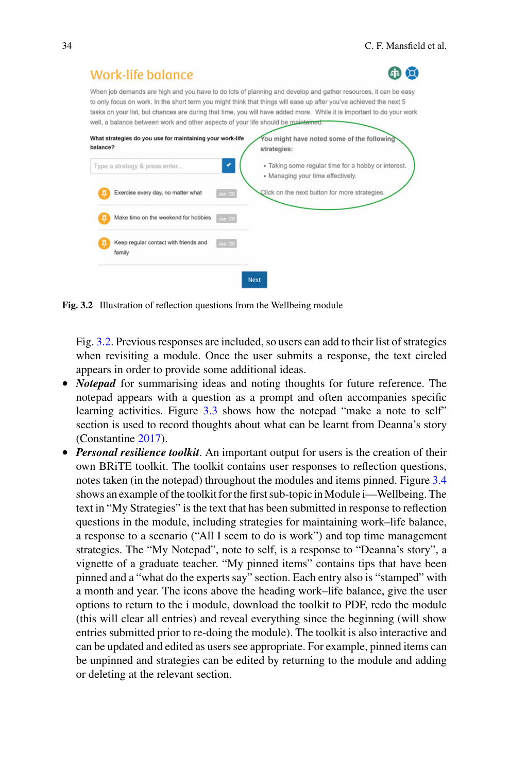| Work-life balance                                                                                      |                |                                                                                                                                                                                                                                                                                                                                                               |
|--------------------------------------------------------------------------------------------------------|----------------|---------------------------------------------------------------------------------------------------------------------------------------------------------------------------------------------------------------------------------------------------------------------------------------------------------------------------------------------------------------|
| well, a balance between work and other aspects of your life should be maintained.                      |                | When job demands are high and you have to do lots of planning and develop and gather resources, it can be easy<br>to only focus on work. In the short term you might think that things will ease up after you've achieved the next 5<br>tasks on your list, but chances are during that time, you will have added more. While it is important to do your work |
| What strategies do you use for maintaining your work-life<br>balance?<br>Type a strategy & press enter |                | You might have noted some of the following<br>strategies:<br>• Taking some regular time for a hobby or interest.                                                                                                                                                                                                                                              |
| Exercise every day, no matter what                                                                     | <b>Jan '20</b> | • Managing your time effectively.<br>Click on the next button for more strategies.                                                                                                                                                                                                                                                                            |
| Make time on the weekend for hobbies                                                                   | <b>Jan '20</b> |                                                                                                                                                                                                                                                                                                                                                               |
| Keep regular contact with friends and<br>family                                                        | <b>Jan 20</b>  |                                                                                                                                                                                                                                                                                                                                                               |
|                                                                                                        |                | <b>Next</b>                                                                                                                                                                                                                                                                                                                                                   |

<span id="page-7-0"></span>**Fig. 3.2** Illustration of reflection questions from the Wellbeing module

Fig. [3.2.](#page-7-0) Previous responses are included, so users can add to their list of strategies when revisiting a module. Once the user submits a response, the text circled appears in order to provide some additional ideas.

- *Notepad* for summarising ideas and noting thoughts for future reference. The notepad appears with a question as a prompt and often accompanies specific learning activities. Figure [3.3](#page-8-0) shows how the notepad "make a note to self" section is used to record thoughts about what can be learnt from Deanna's story (Constantine [2017\)](#page-18-14).
- *Personal resilience toolkit*. An important output for users is the creation of their own BRiTE toolkit. The toolkit contains user responses to reflection questions, notes taken (in the notepad) throughout the modules and items pinned. Figure [3.4](#page-9-0) shows an example of the toolkit for the first sub-topic inModule i—Wellbeing. The text in "My Strategies" is the text that has been submitted in response to reflection questions in the module, including strategies for maintaining work–life balance, a response to a scenario ("All I seem to do is work") and top time management strategies. The "My Notepad", note to self, is a response to "Deanna's story", a vignette of a graduate teacher. "My pinned items" contains tips that have been pinned and a "what do the experts say" section. Each entry also is "stamped" with a month and year. The icons above the heading work–life balance, give the user options to return to the i module, download the toolkit to PDF, redo the module (this will clear all entries) and reveal everything since the beginning (will show entries submitted prior to re-doing the module). The toolkit is also interactive and can be updated and edited as users see appropriate. For example, pinned items can be unpinned and strategies can be edited by returning to the module and adding or deleting at the relevant section.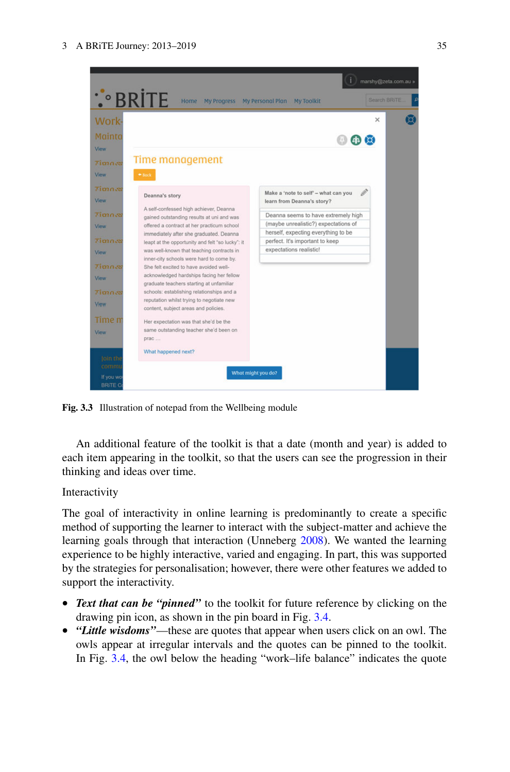

**Fig. 3.3** Illustration of notepad from the Wellbeing module

<span id="page-8-0"></span>An additional feature of the toolkit is that a date (month and year) is added to each item appearing in the toolkit, so that the users can see the progression in their thinking and ideas over time.

### Interactivity

The goal of interactivity in online learning is predominantly to create a specific method of supporting the learner to interact with the subject-matter and achieve the learning goals through that interaction (Unneberg [2008\)](#page-20-8). We wanted the learning experience to be highly interactive, varied and engaging. In part, this was supported by the strategies for personalisation; however, there were other features we added to support the interactivity.

- *Text that can be "pinned"* to the toolkit for future reference by clicking on the drawing pin icon, as shown in the pin board in Fig. [3.4.](#page-9-0)
- *"Little wisdoms"*—these are quotes that appear when users click on an owl. The owls appear at irregular intervals and the quotes can be pinned to the toolkit. In Fig. [3.4,](#page-9-0) the owl below the heading "work–life balance" indicates the quote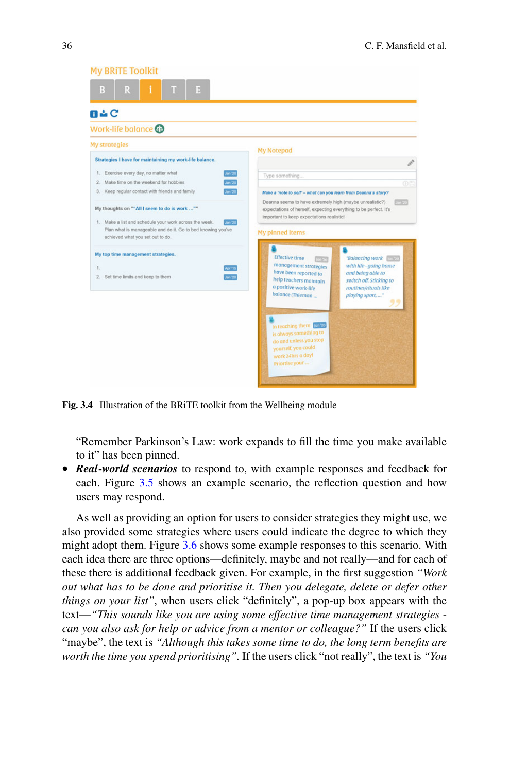| <b>My BRITE Toolkit</b>                                                                                                                                                                                                     |                                                                                                                                                                                          |  |
|-----------------------------------------------------------------------------------------------------------------------------------------------------------------------------------------------------------------------------|------------------------------------------------------------------------------------------------------------------------------------------------------------------------------------------|--|
| 믮<br>B                                                                                                                                                                                                                      |                                                                                                                                                                                          |  |
| $B \triangle C$                                                                                                                                                                                                             |                                                                                                                                                                                          |  |
| Work-life balance @                                                                                                                                                                                                         |                                                                                                                                                                                          |  |
| <b>My strategies</b>                                                                                                                                                                                                        | <b>My Notepad</b>                                                                                                                                                                        |  |
| Strategies I have for maintaining my work-life balance.                                                                                                                                                                     | Ì                                                                                                                                                                                        |  |
| 1. Exercise every day, no matter what<br><b>Jan 20</b>                                                                                                                                                                      | Type something                                                                                                                                                                           |  |
| Make time on the weekend for hobbies<br>Jan 20<br>$^{2}$                                                                                                                                                                    | (6)                                                                                                                                                                                      |  |
| Jan 20<br>Keep regular contact with friends and family<br>3.                                                                                                                                                                | Make a 'note to self' - what can you learn from Deanna's story?<br>Deanna seems to have extremely high (maybe unrealistic?)                                                              |  |
| My thoughts on ""All I seem to do is work ""<br>1. Make a list and schedule your work across the week.<br><b>Jan '20</b><br>Plan what is manageable and do it. Go to bed knowing you've<br>achieved what you set out to do. | expectations of herself, expecting everything to be perfect. It's<br>important to keep expectations realistic!<br>My pinned items                                                        |  |
| My top time management strategies.                                                                                                                                                                                          | <b>Effective time</b><br>"Balancing work"<br>lon 26                                                                                                                                      |  |
| 1.<br>Apr 15                                                                                                                                                                                                                | management strategies<br>with life - going home                                                                                                                                          |  |
| Jan '20<br>2. Set time limits and keep to them                                                                                                                                                                              | have been reported to<br>and being able to<br>help teachers maintain<br>switch off. Sticking to<br>a positive work-life<br>routines/rituals like<br>balance (Thieman<br>playing sport, " |  |
|                                                                                                                                                                                                                             | In teaching there [pn/20]<br>is always something to<br>do and unless you stop<br>yourself, you could<br>work 24hrs a day!<br>Priortise your                                              |  |

<span id="page-9-0"></span>**Fig. 3.4** Illustration of the BRiTE toolkit from the Wellbeing module

"Remember Parkinson's Law: work expands to fill the time you make available to it" has been pinned.

• *Real***-***world scenarios* to respond to, with example responses and feedback for each. Figure [3.5](#page-10-0) shows an example scenario, the reflection question and how users may respond.

As well as providing an option for users to consider strategies they might use, we also provided some strategies where users could indicate the degree to which they might adopt them. Figure [3.6](#page-10-1) shows some example responses to this scenario. With each idea there are three options—definitely, maybe and not really—and for each of these there is additional feedback given. For example, in the first suggestion *"Work out what has to be done and prioritise it. Then you delegate, delete or defer other things on your list"*, when users click "definitely", a pop-up box appears with the text—*"This sounds like you are using some effective time management strategies can you also ask for help or advice from a mentor or colleague?"* If the users click "maybe", the text is *"Although this takes some time to do, the long term benefits are worth the time you spend prioritising".* If the users click "not really", the text is *"You*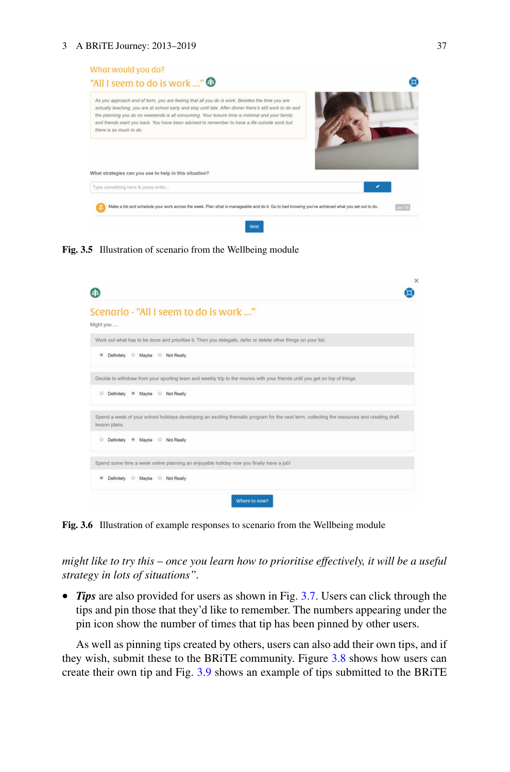#### 3 A BRiTE Journey: 2013–2019 37



**Fig. 3.5** Illustration of scenario from the Wellbeing module

<span id="page-10-0"></span>

| Scenario - "All I seem to do is work "<br>Might you                                                                                                          |  |
|--------------------------------------------------------------------------------------------------------------------------------------------------------------|--|
| Work out what has to be done and prioritise it. Then you delegate, defer or delete other things on your list.                                                |  |
| Definitely Maybe Not Really<br>٠                                                                                                                             |  |
| Decide to withdraw from your sporting team and weekly trip to the movies with your friends until you get on top of things.                                   |  |
| * Maybe Not Really<br>Definitely                                                                                                                             |  |
| Spend a week of your school holidays developing an exciting thematic program for the next term, collecting the resources and creating draft<br>lesson plans. |  |
| Definitely * Maybe <sup>@</sup> Not Really                                                                                                                   |  |
| Spend some time a week online planning an enjoyable holiday now you finally have a job!                                                                      |  |
| Maybe Not Really<br>Definitely                                                                                                                               |  |
| Where to now?                                                                                                                                                |  |

<span id="page-10-1"></span>**Fig. 3.6** Illustration of example responses to scenario from the Wellbeing module

*might like to try this* – *once you learn how to prioritise effectively, it will be a useful strategy in lots of situations".*

• *Tips* are also provided for users as shown in Fig. [3.7.](#page-11-0) Users can click through the tips and pin those that they'd like to remember. The numbers appearing under the pin icon show the number of times that tip has been pinned by other users.

As well as pinning tips created by others, users can also add their own tips, and if they wish, submit these to the BRiTE community. Figure [3.8](#page-11-1) shows how users can create their own tip and Fig. [3.9](#page-11-2) shows an example of tips submitted to the BRiTE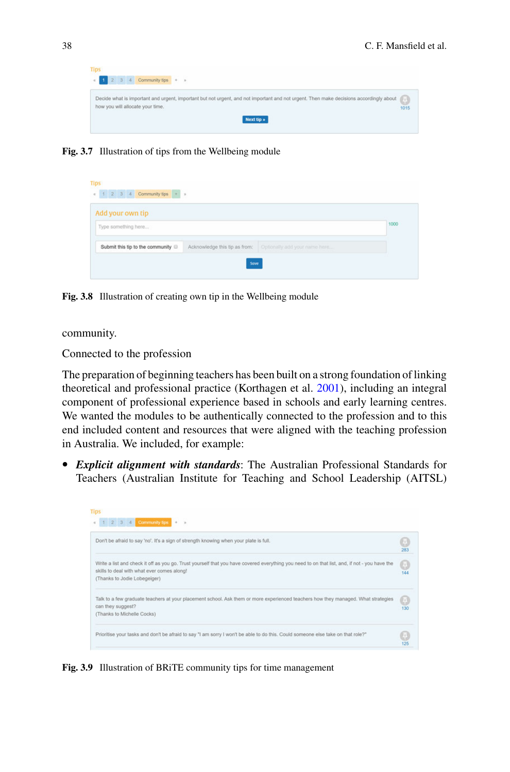<span id="page-11-0"></span>

**Fig. 3.7** Illustration of tips from the Wellbeing module

| Add your own tip                 |  |                                                             |      |
|----------------------------------|--|-------------------------------------------------------------|------|
| Type something here              |  |                                                             | 1000 |
| Submit this tip to the community |  | Acknowledge this tip as from: Optionally add your name here |      |

<span id="page-11-1"></span>**Fig. 3.8** Illustration of creating own tip in the Wellbeing module

community.

Connected to the profession

The preparation of beginning teachers has been built on a strong foundation of linking theoretical and professional practice (Korthagen et al. [2001\)](#page-19-15), including an integral component of professional experience based in schools and early learning centres. We wanted the modules to be authentically connected to the profession and to this end included content and resources that were aligned with the teaching profession in Australia. We included, for example:

• *Explicit alignment with standards*: The Australian Professional Standards for Teachers (Australian Institute for Teaching and School Leadership (AITSL)

<span id="page-11-2"></span>

**Fig. 3.9** Illustration of BRiTE community tips for time management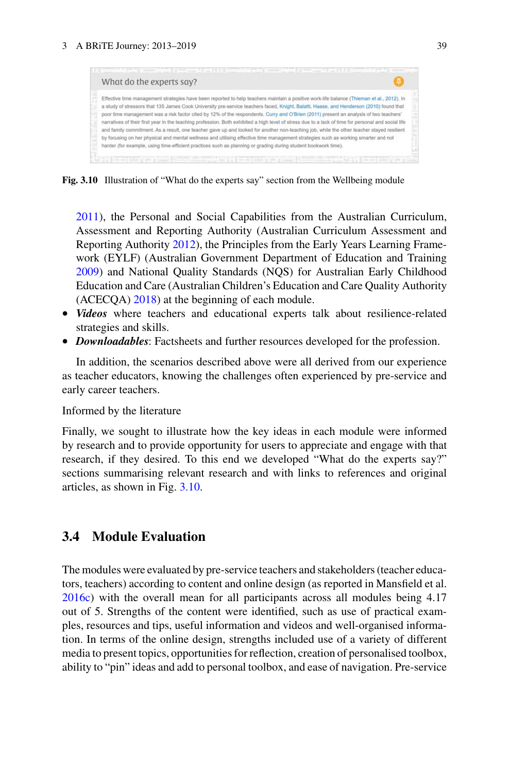

**Fig. 3.10** Illustration of "What do the experts say" section from the Wellbeing module

<span id="page-12-0"></span>[2011\)](#page-18-2), the Personal and Social Capabilities from the Australian Curriculum, Assessment and Reporting Authority (Australian Curriculum Assessment and Reporting Authority [2012\)](#page-18-15), the Principles from the Early Years Learning Framework (EYLF) (Australian Government Department of Education and Training [2009\)](#page-18-16) and National Quality Standards (NQS) for Australian Early Childhood Education and Care (Australian Children's Education and Care Quality Authority (ACECQA) [2018\)](#page-18-17) at the beginning of each module.

- *Videos* where teachers and educational experts talk about resilience-related strategies and skills.
- *Downloadables*: Factsheets and further resources developed for the profession.

In addition, the scenarios described above were all derived from our experience as teacher educators, knowing the challenges often experienced by pre-service and early career teachers.

#### Informed by the literature

Finally, we sought to illustrate how the key ideas in each module were informed by research and to provide opportunity for users to appreciate and engage with that research, if they desired. To this end we developed "What do the experts say?" sections summarising relevant research and with links to references and original articles, as shown in Fig. [3.10.](#page-12-0)

# **3.4 Module Evaluation**

The modules were evaluated by pre-service teachers and stakeholders (teacher educators, teachers) according to content and online design (as reported in Mansfield et al. [2016c\)](#page-19-7) with the overall mean for all participants across all modules being 4.17 out of 5. Strengths of the content were identified, such as use of practical examples, resources and tips, useful information and videos and well-organised information. In terms of the online design, strengths included use of a variety of different media to present topics, opportunities for reflection, creation of personalised toolbox, ability to "pin" ideas and add to personal toolbox, and ease of navigation. Pre-service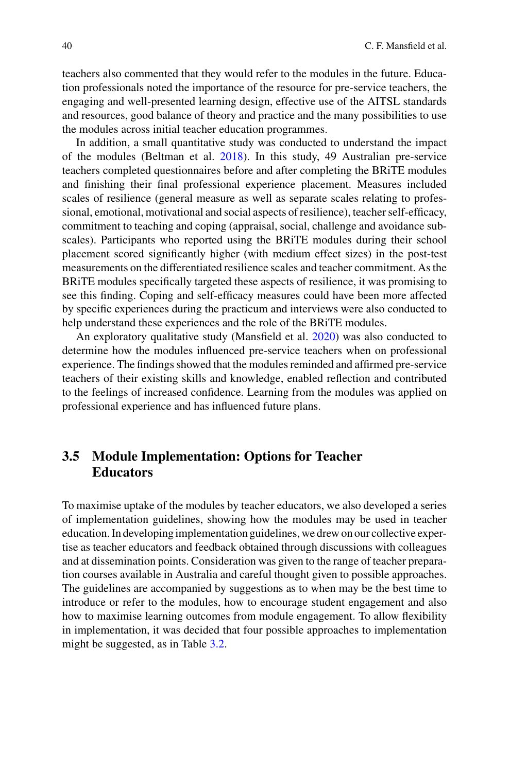teachers also commented that they would refer to the modules in the future. Education professionals noted the importance of the resource for pre-service teachers, the engaging and well-presented learning design, effective use of the AITSL standards and resources, good balance of theory and practice and the many possibilities to use the modules across initial teacher education programmes.

In addition, a small quantitative study was conducted to understand the impact of the modules (Beltman et al. [2018\)](#page-18-18). In this study, 49 Australian pre-service teachers completed questionnaires before and after completing the BRiTE modules and finishing their final professional experience placement. Measures included scales of resilience (general measure as well as separate scales relating to professional, emotional, motivational and social aspects of resilience), teacher self-efficacy, commitment to teaching and coping (appraisal, social, challenge and avoidance subscales). Participants who reported using the BRiTE modules during their school placement scored significantly higher (with medium effect sizes) in the post-test measurements on the differentiated resilience scales and teacher commitment. As the BRiTE modules specifically targeted these aspects of resilience, it was promising to see this finding. Coping and self-efficacy measures could have been more affected by specific experiences during the practicum and interviews were also conducted to help understand these experiences and the role of the BRiTE modules.

An exploratory qualitative study (Mansfield et al. [2020\)](#page-19-16) was also conducted to determine how the modules influenced pre-service teachers when on professional experience. The findings showed that the modules reminded and affirmed pre-service teachers of their existing skills and knowledge, enabled reflection and contributed to the feelings of increased confidence. Learning from the modules was applied on professional experience and has influenced future plans.

# **3.5 Module Implementation: Options for Teacher Educators**

To maximise uptake of the modules by teacher educators, we also developed a series of implementation guidelines, showing how the modules may be used in teacher education. In developing implementation guidelines, we drew on our collective expertise as teacher educators and feedback obtained through discussions with colleagues and at dissemination points. Consideration was given to the range of teacher preparation courses available in Australia and careful thought given to possible approaches. The guidelines are accompanied by suggestions as to when may be the best time to introduce or refer to the modules, how to encourage student engagement and also how to maximise learning outcomes from module engagement. To allow flexibility in implementation, it was decided that four possible approaches to implementation might be suggested, as in Table [3.2.](#page-14-0)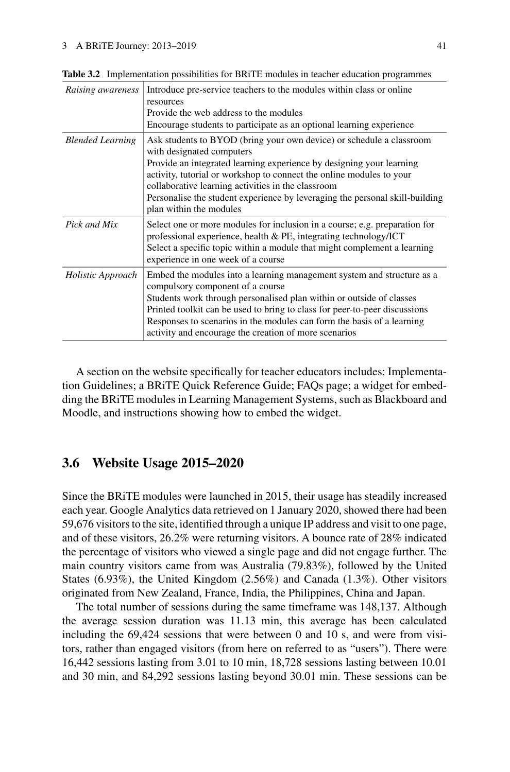| Raising awareness       | Introduce pre-service teachers to the modules within class or online<br>resources<br>Provide the web address to the modules<br>Encourage students to participate as an optional learning experience                                                                                                                                                                                                                |
|-------------------------|--------------------------------------------------------------------------------------------------------------------------------------------------------------------------------------------------------------------------------------------------------------------------------------------------------------------------------------------------------------------------------------------------------------------|
| <b>Blended Learning</b> | Ask students to BYOD (bring your own device) or schedule a classroom<br>with designated computers<br>Provide an integrated learning experience by designing your learning<br>activity, tutorial or workshop to connect the online modules to your<br>collaborative learning activities in the classroom<br>Personalise the student experience by leveraging the personal skill-building<br>plan within the modules |
| Pick and Mix            | Select one or more modules for inclusion in a course; e.g. preparation for<br>professional experience, health & PE, integrating technology/ICT<br>Select a specific topic within a module that might complement a learning<br>experience in one week of a course                                                                                                                                                   |
| Holistic Approach       | Embed the modules into a learning management system and structure as a<br>compulsory component of a course<br>Students work through personalised plan within or outside of classes<br>Printed toolkit can be used to bring to class for peer-to-peer discussions<br>Responses to scenarios in the modules can form the basis of a learning<br>activity and encourage the creation of more scenarios                |

<span id="page-14-0"></span>**Table 3.2** Implementation possibilities for BRiTE modules in teacher education programmes

A section on the website specifically for teacher educators includes: Implementation Guidelines; a BRiTE Quick Reference Guide; FAQs page; a widget for embedding the BRiTE modules in Learning Management Systems, such as Blackboard and Moodle, and instructions showing how to embed the widget.

# **3.6 Website Usage 2015–2020**

Since the BRiTE modules were launched in 2015, their usage has steadily increased each year. Google Analytics data retrieved on 1 January 2020, showed there had been 59,676 visitors to the site, identified through a unique IP address and visit to one page, and of these visitors, 26.2% were returning visitors. A bounce rate of 28% indicated the percentage of visitors who viewed a single page and did not engage further. The main country visitors came from was Australia (79.83%), followed by the United States (6.93%), the United Kingdom (2.56%) and Canada (1.3%). Other visitors originated from New Zealand, France, India, the Philippines, China and Japan.

The total number of sessions during the same timeframe was 148,137. Although the average session duration was 11.13 min, this average has been calculated including the 69,424 sessions that were between 0 and 10 s, and were from visitors, rather than engaged visitors (from here on referred to as "users"). There were 16,442 sessions lasting from 3.01 to 10 min, 18,728 sessions lasting between 10.01 and 30 min, and 84,292 sessions lasting beyond 30.01 min. These sessions can be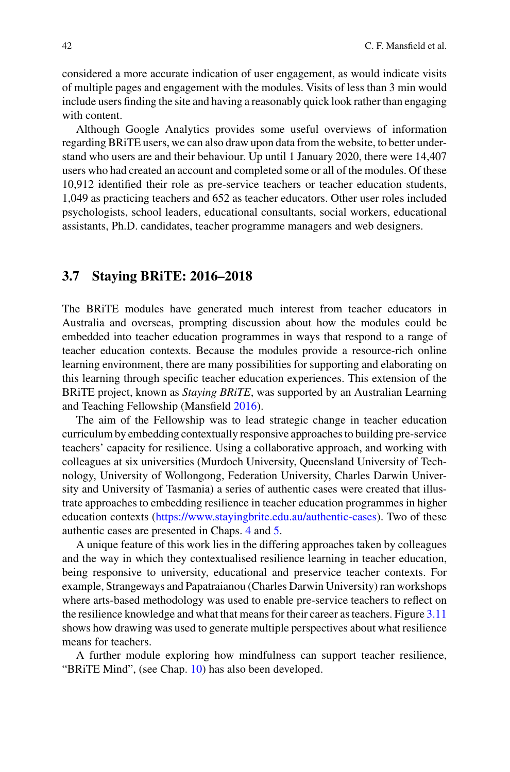considered a more accurate indication of user engagement, as would indicate visits of multiple pages and engagement with the modules. Visits of less than 3 min would include users finding the site and having a reasonably quick look rather than engaging with content.

Although Google Analytics provides some useful overviews of information regarding BRiTE users, we can also draw upon data from the website, to better understand who users are and their behaviour. Up until 1 January 2020, there were 14,407 users who had created an account and completed some or all of the modules. Of these 10,912 identified their role as pre-service teachers or teacher education students, 1,049 as practicing teachers and 652 as teacher educators. Other user roles included psychologists, school leaders, educational consultants, social workers, educational assistants, Ph.D. candidates, teacher programme managers and web designers.

# **3.7 Staying BRiTE: 2016–2018**

The BRiTE modules have generated much interest from teacher educators in Australia and overseas, prompting discussion about how the modules could be embedded into teacher education programmes in ways that respond to a range of teacher education contexts. Because the modules provide a resource-rich online learning environment, there are many possibilities for supporting and elaborating on this learning through specific teacher education experiences. This extension of the BRiTE project, known as *Staying BRiTE*, was supported by an Australian Learning and Teaching Fellowship (Mansfield [2016\)](#page-19-17).

The aim of the Fellowship was to lead strategic change in teacher education curriculum by embedding contextually responsive approaches to building pre-service teachers' capacity for resilience. Using a collaborative approach, and working with colleagues at six universities (Murdoch University, Queensland University of Technology, University of Wollongong, Federation University, Charles Darwin University and University of Tasmania) a series of authentic cases were created that illustrate approaches to embedding resilience in teacher education programmes in higher education contexts [\(https://www.stayingbrite.edu.au/authentic-cases\)](https://www.stayingbrite.edu.au/authentic-cases). Two of these authentic cases are presented in Chaps. 4 and 5.

A unique feature of this work lies in the differing approaches taken by colleagues and the way in which they contextualised resilience learning in teacher education, being responsive to university, educational and preservice teacher contexts. For example, Strangeways and Papatraianou (Charles Darwin University) ran workshops where arts-based methodology was used to enable pre-service teachers to reflect on the resilience knowledge and what that means for their career as teachers. Figure [3.11](#page-16-0) shows how drawing was used to generate multiple perspectives about what resilience means for teachers.

A further module exploring how mindfulness can support teacher resilience, "BRiTE Mind", (see Chap. 10) has also been developed.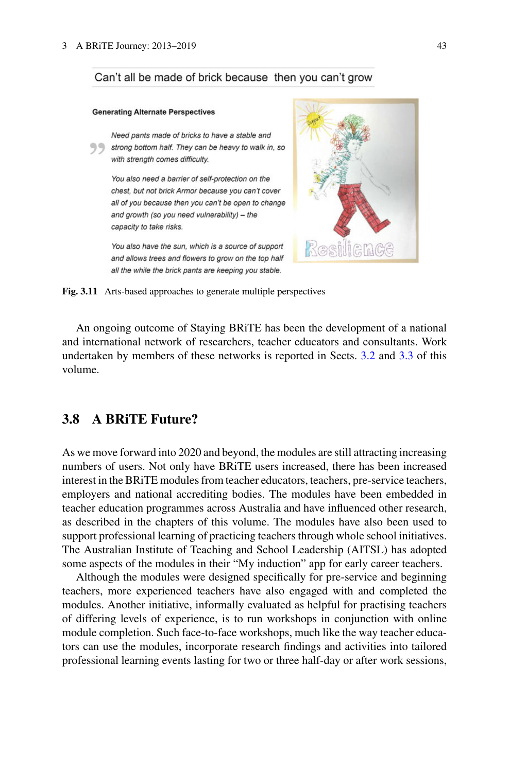### Can't all be made of brick because then you can't grow

#### **Generating Alternate Perspectives**

Need pants made of bricks to have a stable and Strong bottom half. They can be heavy to walk in, so with strength comes difficulty.

You also need a barrier of self-protection on the chest, but not brick Armor because you can't cover all of you because then you can't be open to change and growth (so you need vulnerability) - the capacity to take risks.

<span id="page-16-0"></span>You also have the sun, which is a source of support and allows trees and flowers to grow on the top half all the while the brick pants are keeping you stable.



**Fig. 3.11** Arts-based approaches to generate multiple perspectives

An ongoing outcome of Staying BRiTE has been the development of a national and international network of researchers, teacher educators and consultants. Work undertaken by members of these networks is reported in Sects. [3.2](#page-2-0) and [3.3](#page-3-0) of this volume.

# **3.8 A BRiTE Future?**

As we move forward into 2020 and beyond, the modules are still attracting increasing numbers of users. Not only have BRiTE users increased, there has been increased interest in the BRiTE modules from teacher educators, teachers, pre-service teachers, employers and national accrediting bodies. The modules have been embedded in teacher education programmes across Australia and have influenced other research, as described in the chapters of this volume. The modules have also been used to support professional learning of practicing teachers through whole school initiatives. The Australian Institute of Teaching and School Leadership (AITSL) has adopted some aspects of the modules in their "My induction" app for early career teachers.

Although the modules were designed specifically for pre-service and beginning teachers, more experienced teachers have also engaged with and completed the modules. Another initiative, informally evaluated as helpful for practising teachers of differing levels of experience, is to run workshops in conjunction with online module completion. Such face-to-face workshops, much like the way teacher educators can use the modules, incorporate research findings and activities into tailored professional learning events lasting for two or three half-day or after work sessions,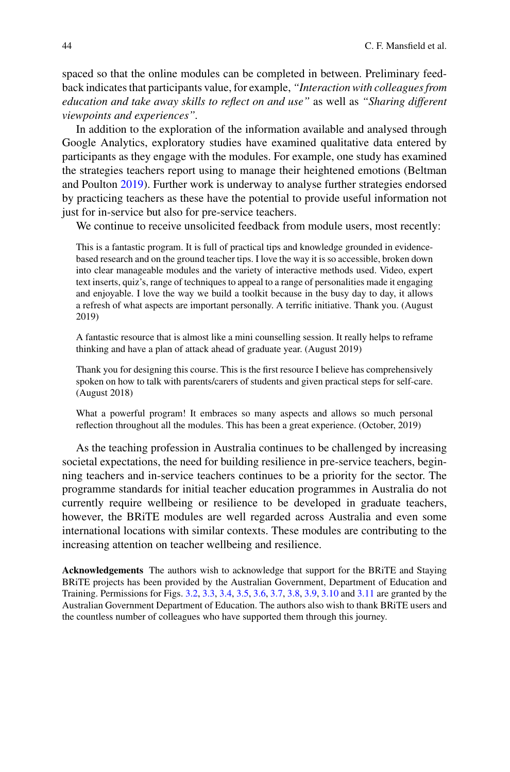spaced so that the online modules can be completed in between. Preliminary feedback indicates that participants value, for example, *"Interaction with colleagues from education and take away skills to reflect on and use"* as well as *"Sharing different viewpoints and experiences".*

In addition to the exploration of the information available and analysed through Google Analytics, exploratory studies have examined qualitative data entered by participants as they engage with the modules. For example, one study has examined the strategies teachers report using to manage their heightened emotions (Beltman and Poulton [2019\)](#page-18-19). Further work is underway to analyse further strategies endorsed by practicing teachers as these have the potential to provide useful information not just for in-service but also for pre-service teachers.

We continue to receive unsolicited feedback from module users, most recently:

This is a fantastic program. It is full of practical tips and knowledge grounded in evidencebased research and on the ground teacher tips. I love the way it is so accessible, broken down into clear manageable modules and the variety of interactive methods used. Video, expert text inserts, quiz's, range of techniques to appeal to a range of personalities made it engaging and enjoyable. I love the way we build a toolkit because in the busy day to day, it allows a refresh of what aspects are important personally. A terrific initiative. Thank you. (August 2019)

A fantastic resource that is almost like a mini counselling session. It really helps to reframe thinking and have a plan of attack ahead of graduate year. (August 2019)

Thank you for designing this course. This is the first resource I believe has comprehensively spoken on how to talk with parents/carers of students and given practical steps for self-care. (August 2018)

What a powerful program! It embraces so many aspects and allows so much personal reflection throughout all the modules. This has been a great experience. (October, 2019)

As the teaching profession in Australia continues to be challenged by increasing societal expectations, the need for building resilience in pre-service teachers, beginning teachers and in-service teachers continues to be a priority for the sector. The programme standards for initial teacher education programmes in Australia do not currently require wellbeing or resilience to be developed in graduate teachers, however, the BRiTE modules are well regarded across Australia and even some international locations with similar contexts. These modules are contributing to the increasing attention on teacher wellbeing and resilience.

**Acknowledgements** The authors wish to acknowledge that support for the BRiTE and Staying BRiTE projects has been provided by the Australian Government, Department of Education and Training. Permissions for Figs. [3.2,](#page-7-0) [3.3,](#page-8-0) [3.4,](#page-9-0) [3.5,](#page-10-0) [3.6,](#page-10-1) [3.7,](#page-11-0) [3.8,](#page-11-1) [3.9,](#page-11-2) [3.10](#page-12-0) and [3.11](#page-16-0) are granted by the Australian Government Department of Education. The authors also wish to thank BRiTE users and the countless number of colleagues who have supported them through this journey.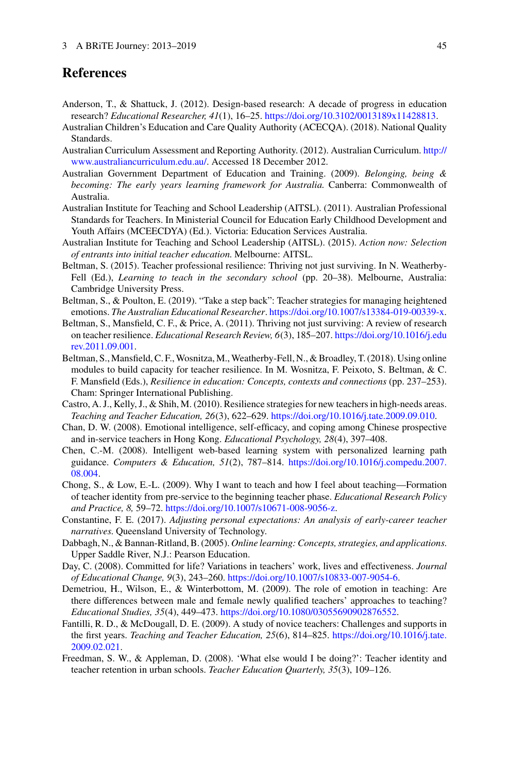# **References**

- <span id="page-18-11"></span>Anderson, T., & Shattuck, J. (2012). Design-based research: A decade of progress in education research? *Educational Researcher, 41*(1), 16–25. [https://doi.org/10.3102/0013189x11428813.](https://doi.org/10.3102/0013189x11428813)
- <span id="page-18-17"></span>Australian Children's Education and Care Quality Authority (ACECQA). (2018). National Quality Standards.
- <span id="page-18-15"></span>[Australian Curriculum Assessment and Reporting Authority. \(2012\). Australian Curriculum.](http://www.australiancurriculum.edu.au/) http:// www.australiancurriculum.edu.au/. Accessed 18 December 2012.
- <span id="page-18-16"></span>Australian Government Department of Education and Training. (2009). *Belonging, being & becoming: The early years learning framework for Australia*. Canberra: Commonwealth of Australia.
- <span id="page-18-2"></span>Australian Institute for Teaching and School Leadership (AITSL). (2011). Australian Professional Standards for Teachers. In Ministerial Council for Education Early Childhood Development and Youth Affairs (MCEECDYA) (Ed.). Victoria: Education Services Australia.
- <span id="page-18-3"></span>Australian Institute for Teaching and School Leadership (AITSL). (2015). *Action now: Selection of entrants into initial teacher education*. Melbourne: AITSL.
- <span id="page-18-10"></span>Beltman, S. (2015). Teacher professional resilience: Thriving not just surviving. In N. Weatherby-Fell (Ed.), *Learning to teach in the secondary school* (pp. 20–38). Melbourne, Australia: Cambridge University Press.
- <span id="page-18-19"></span>Beltman, S., & Poulton, E. (2019). "Take a step back": Teacher strategies for managing heightened emotions. *The Australian Educational Researcher*. [https://doi.org/10.1007/s13384-019-00339-x.](https://doi.org/10.1007/s13384-019-00339-x)
- <span id="page-18-1"></span>Beltman, S., Mansfield, C. F., & Price, A. (2011). Thriving not just surviving: A review of research on teacher resilience. *[Educational Research Review, 6](https://doi.org/10.1016/j.edurev.2011.09.001)*(3), 185–207. https://doi.org/10.1016/j.edu rev.2011.09.001.
- <span id="page-18-18"></span>Beltman, S., Mansfield, C. F.,Wosnitza, M.,Weatherby-Fell, N., & Broadley, T. (2018). Using online modules to build capacity for teacher resilience. In M. Wosnitza, F. Peixoto, S. Beltman, & C. F. Mansfield (Eds.), *Resilience in education: Concepts, contexts and connections* (pp. 237–253). Cham: Springer International Publishing.
- <span id="page-18-4"></span>Castro, A. J., Kelly, J., & Shih, M. (2010). Resilience strategies for new teachers in high-needs areas. *Teaching and Teacher Education, 26*(3), 622–629. [https://doi.org/10.1016/j.tate.2009.09.010.](https://doi.org/10.1016/j.tate.2009.09.010)
- <span id="page-18-8"></span>Chan, D. W. (2008). Emotional intelligence, self-efficacy, and coping among Chinese prospective and in-service teachers in Hong Kong. *Educational Psychology, 28*(4), 397–408.
- <span id="page-18-13"></span>Chen, C.-M. (2008). Intelligent web-based learning system with personalized learning path guidance. *Computers & Education, 51*(2), 787–814. [https://doi.org/10.1016/j.compedu.2007.](https://doi.org/10.1016/j.compedu.2007.08.004) 08.004.
- <span id="page-18-7"></span>Chong, S., & Low, E.-L. (2009). Why I want to teach and how I feel about teaching—Formation of teacher identity from pre-service to the beginning teacher phase. *Educational Research Policy and Practice, 8,* 59–72. [https://doi.org/10.1007/s10671-008-9056-z.](https://doi.org/10.1007/s10671-008-9056-z)
- <span id="page-18-14"></span>Constantine, F. E. (2017). *Adjusting personal expectations: An analysis of early-career teacher narratives*. Queensland University of Technology.
- <span id="page-18-12"></span>Dabbagh, N., & Bannan-Ritland, B. (2005). *Online learning: Concepts, strategies, and applications*. Upper Saddle River, N.J.: Pearson Education.
- <span id="page-18-6"></span>Day, C. (2008). Committed for life? Variations in teachers' work, lives and effectiveness. *Journal of Educational Change, 9*(3), 243–260. [https://doi.org/10.1007/s10833-007-9054-6.](https://doi.org/10.1007/s10833-007-9054-6)
- <span id="page-18-9"></span>Demetriou, H., Wilson, E., & Winterbottom, M. (2009). The role of emotion in teaching: Are there differences between male and female newly qualified teachers' approaches to teaching? *Educational Studies, 35*(4), 449–473. [https://doi.org/10.1080/03055690902876552.](https://doi.org/10.1080/03055690902876552)
- <span id="page-18-0"></span>Fantilli, R. D., & McDougall, D. E. (2009). A study of novice teachers: Challenges and supports in the first years. *[Teaching and Teacher Education, 25](https://doi.org/10.1016/j.tate.2009.02.021)*(6), 814–825. https://doi.org/10.1016/j.tate. 2009.02.021.
- <span id="page-18-5"></span>Freedman, S. W., & Appleman, D. (2008). 'What else would I be doing?': Teacher identity and teacher retention in urban schools. *Teacher Education Quarterly, 35*(3), 109–126.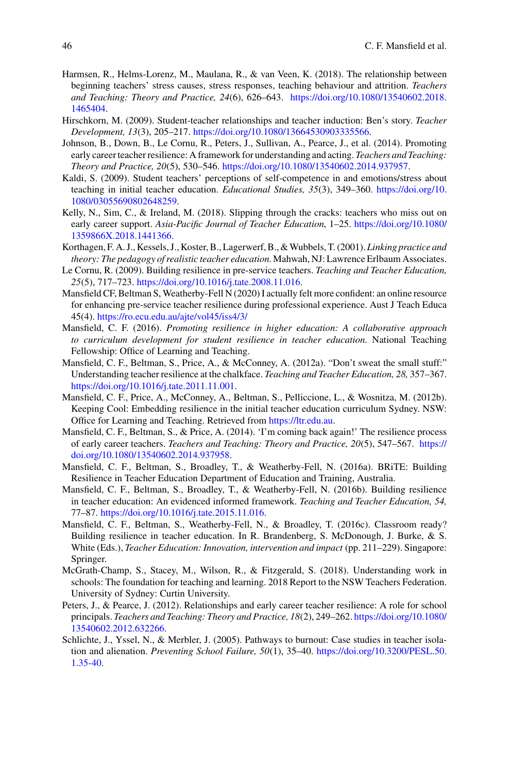- <span id="page-19-0"></span>Harmsen, R., Helms-Lorenz, M., Maulana, R., & van Veen, K. (2018). The relationship between beginning teachers' stress causes, stress responses, teaching behaviour and attrition. *Teachers [and Teaching: Theory and Practice, 24](https://doi.org/10.1080/13540602.2018.1465404)*(6), 626–643. https://doi.org/10.1080/13540602.2018. 1465404.
- <span id="page-19-11"></span>Hirschkorn, M. (2009). Student-teacher relationships and teacher induction: Ben's story. *Teacher Development, 13*(3), 205–217. [https://doi.org/10.1080/13664530903335566.](https://doi.org/10.1080/13664530903335566)
- <span id="page-19-6"></span>Johnson, B., Down, B., Le Cornu, R., Peters, J., Sullivan, A., Pearce, J., et al. (2014). Promoting early career teacher resilience: A framework for understanding and acting. *Teachers and Teaching: Theory and Practice, 20*(5), 530–546. [https://doi.org/10.1080/13540602.2014.937957.](https://doi.org/10.1080/13540602.2014.937957)
- <span id="page-19-12"></span>Kaldi, S. (2009). Student teachers' perceptions of self-competence in and emotions/stress about [teaching in initial teacher education.](https://doi.org/10.1080/03055690802648259) *Educational Studies, 35*(3), 349–360. https://doi.org/10. 1080/03055690802648259.
- <span id="page-19-2"></span>Kelly, N., Sim, C., & Ireland, M. (2018). Slipping through the cracks: teachers who miss out on early career support. *[Asia-Pacific Journal of Teacher Education](https://doi.org/10.1080/1359866X.2018.1441366)*, 1–25. https://doi.org/10.1080/ 1359866X.2018.1441366.
- <span id="page-19-15"></span>Korthagen, F. A. J., Kessels, J., Koster, B., Lagerwerf, B., &Wubbels, T. (2001). *Linking practice and theory: The pedagogy of realistic teacher education*. Mahwah, NJ: Lawrence Erlbaum Associates.
- <span id="page-19-10"></span>Le Cornu, R. (2009). Building resilience in pre-service teachers. *Teaching and Teacher Education, 25*(5), 717–723. [https://doi.org/10.1016/j.tate.2008.11.016.](https://doi.org/10.1016/j.tate.2008.11.016)
- <span id="page-19-16"></span>Mansfield CF, Beltman S, Weatherby-Fell N (2020) I actually felt more confident: an online resource for enhancing pre-service teacher resilience during professional experience. Aust J Teach Educa 45(4). <https://ro.ecu.edu.au/ajte/vol45/iss4/3/>
- <span id="page-19-17"></span>Mansfield, C. F. (2016). *Promoting resilience in higher education: A collaborative approach to curriculum development for student resilience in teacher education*. National Teaching Fellowship: Office of Learning and Teaching.
- <span id="page-19-13"></span>Mansfield, C. F., Beltman, S., Price, A., & McConney, A. (2012a). "Don't sweat the small stuff:" Understanding teacher resilience at the chalkface. *Teaching and Teacher Education, 28,* 357–367. [https://doi.org/10.1016/j.tate.2011.11.001.](https://doi.org/10.1016/j.tate.2011.11.001)
- <span id="page-19-8"></span>Mansfield, C. F., Price, A., McConney, A., Beltman, S., Pelliccione, L., & Wosnitza, M. (2012b). Keeping Cool: Embedding resilience in the initial teacher education curriculum Sydney. NSW: Office for Learning and Teaching. Retrieved from [https://ltr.edu.au.](https://ltr.edu.au)
- <span id="page-19-5"></span>Mansfield, C. F., Beltman, S., & Price, A. (2014). 'I'm coming back again!' The resilience process of early career teachers. *[Teachers and Teaching: Theory and Practice, 20](https://doi.org/10.1080/13540602.2014.937958)*(5), 547–567. https:// doi.org/10.1080/13540602.2014.937958.
- <span id="page-19-9"></span>Mansfield, C. F., Beltman, S., Broadley, T., & Weatherby-Fell, N. (2016a). BRiTE: Building Resilience in Teacher Education Department of Education and Training, Australia.
- <span id="page-19-14"></span>Mansfield, C. F., Beltman, S., Broadley, T., & Weatherby-Fell, N. (2016b). Building resilience in teacher education: An evidenced informed framework. *Teaching and Teacher Education, 54,* 77–87. [https://doi.org/10.1016/j.tate.2015.11.016.](https://doi.org/10.1016/j.tate.2015.11.016)
- <span id="page-19-7"></span>Mansfield, C. F., Beltman, S., Weatherby-Fell, N., & Broadley, T. (2016c). Classroom ready? Building resilience in teacher education. In R. Brandenberg, S. McDonough, J. Burke, & S. White (Eds.), *Teacher Education: Innovation, intervention and impact* (pp. 211–229). Singapore: Springer.
- <span id="page-19-3"></span>McGrath-Champ, S., Stacey, M., Wilson, R., & Fitzgerald, S. (2018). Understanding work in schools: The foundation for teaching and learning. 2018 Report to the NSW Teachers Federation. University of Sydney: Curtin University.
- <span id="page-19-4"></span>Peters, J., & Pearce, J. (2012). Relationships and early career teacher resilience: A role for school principals. *[Teachers and Teaching: Theory and Practice, 18](https://doi.org/10.1080/13540602.2012.632266)*(2), 249–262. https://doi.org/10.1080/ 13540602.2012.632266.
- <span id="page-19-1"></span>Schlichte, J., Yssel, N., & Merbler, J. (2005). Pathways to burnout: Case studies in teacher isolation and alienation. *Preventing School Failure, 50*(1), 35–40. [https://doi.org/10.3200/PESL.50.](https://doi.org/10.3200/PESL.50.1.35-40) 1.35-40.